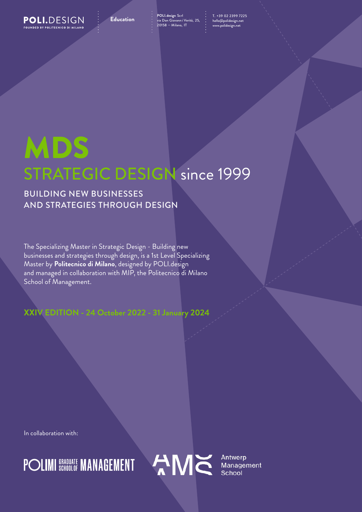POLI.DESIGN NDED BY POLITECNICO DI MIL

**POLI.design** Scrl via Don Giovann i Verità, 25, **Education** T. +39 02 2399 7225 20158 — Milano, IT

hello@polidesign.net www.polidesign.net

## MDS STRATEGIC DESIGN since 1999

## BUILDING NEW BUSINESSES AND STRATEGIES THROUGH DESIGN

The Specializing Master in Strategic Design - Building new businesses and strategies through design, is a 1st Level Specializing Master by **Politecnico di Milano**, designed by POLI.design and managed in collaboration with MIP, the Politecnico di Milano School of Management.

## **XXIV EDITION - 24 October 2022 - 31 January 2024**

In collaboration with:



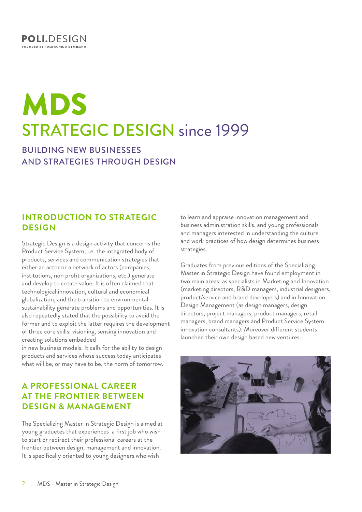

# MDS STRATEGIC DESIGN since 1999

BUILDING NEW BUSINESSES AND STRATEGIES THROUGH DESIGN

### **INTRODUCTION TO STRATEGIC DESIGN**

Strategic Design is a design activity that concerns the Product Service System, i.e. the integrated body of products, services and communication strategies that either an actor or a network of actors (companies, institutions, non profit organizations, etc.) generate and develop to create value. It is often claimed that technological innovation, cultural and economical globalization, and the transition to environmental sustainability generate problems and opportunities. It is also repeatedly stated that the possibility to avoid the former and to exploit the latter requires the development of three core skills: visioning, sensing innovation and creating solutions embedded

in new business models. It calls for the ability to design products and services whose success today anticipates what will be, or may have to be, the norm of tomorrow.

## **A PROFESSIONAL CAREER AT THE FRONTIER BETWEEN DESIGN & MANAGEMENT**

The Specializing Master in Strategic Design is aimed at young graduetes that experiences a first job who wish to start or redirect their professional careers at the frontier between design, management and innovation. It is specifically oriented to young designers who wish

to learn and appraise innovation management and business administration skills, and young professionals and managers interested in understanding the culture and work practices of how design determines business strategies.

Graduates from previous editions of the Specializing Master in Strategic Design have found employment in two main areas: as specialists in Marketing and Innovation (marketing directors, R&D managers, industrial designers, product/service and brand developers) and in Innovation Design Management (as design managers, design directors, project managers, product managers, retail managers, brand managers and Product Service System innovation consultants). Moreover different students launched their own design based new ventures.

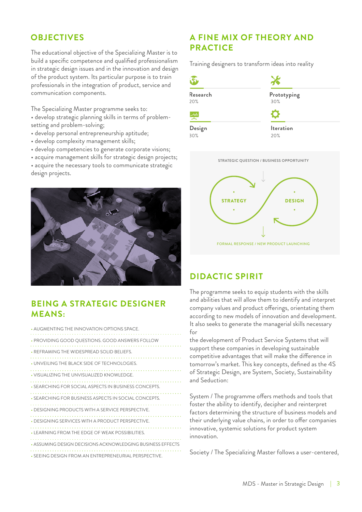The educational objective of the Specializing Master is to build a specific competence and qualified professionalism in strategic design issues and in the innovation and design of the product system. Its particular purpose is to train professionals in the integration of product, service and communication components.

The Specializing Master programme seeks to: • develop strategic planning skills in terms of problemsetting and problem-solving;

- develop personal entrepreneurship aptitude;
- develop complexity management skills;
- develop competencies to generate corporate visions;
- acquire management skills for strategic design projects;
- acquire the necessary tools to communicate strategic design projects.



## **BEING A STRATEGIC DESIGNER MEANS:**

| • AUGMENTING THE INNOVATION OPTIONS SPACE.                 |
|------------------------------------------------------------|
| • PROVIDING GOOD QUESTIONS. GOOD ANSWERS FOLLOW            |
| • REFRAMING THE WIDESPREAD SOLID BELIEFS.                  |
| . UNVEILING THE BLACK SIDE OF TECHNOLOGIES.                |
| . VISUALIZING THE UNVISUALIZED KNOWLEDGE.                  |
| • SEARCHING FOR SOCIAL ASPECTS IN BUSINESS CONCEPTS.       |
| • SEARCHING FOR BUSINESS ASPECTS IN SOCIAL CONCEPTS.       |
| • DESIGNING PRODUCTS WITH A SERVICE PERSPECTIVE.           |
| • DESIGNING SERVICES WITH A PRODUCT PERSPECTIVE.           |
| • LEARNING FROM THE EDGE OF WEAK POSSIBILITIES.            |
| • ASSUMING DESIGN DECISIONS ACKNOWLEDGING BUSINESS EFFECTS |
| • SEEING DESIGN FROM AN ENTREPRENEURIAL PERSPECTIVE.       |

## **OBJECTIVES A FINE MIX OF THEORY AND PRACTICE**

Training designers to transform ideas into reality





## **DIDACTIC SPIRIT**

The programme seeks to equip students with the skills and abilities that will allow them to identify and interpret company values and product offerings, orientating them according to new models of innovation and development. It also seeks to generate the managerial skills necessary for

the development of Product Service Systems that will support these companies in developing sustainable competitive advantages that will make the difference in tomorrow's market. This key concepts, defined as the 4S of Strategic Design, are System, Society, Sustainability and Seduction:

System / The programme offers methods and tools that foster the ability to identify, decipher and reinterpret factors determining the structure of business models and their underlying value chains, in order to offer companies innovative, systemic solutions for product system innovation.

Society / The Specializing Master follows a user-centered,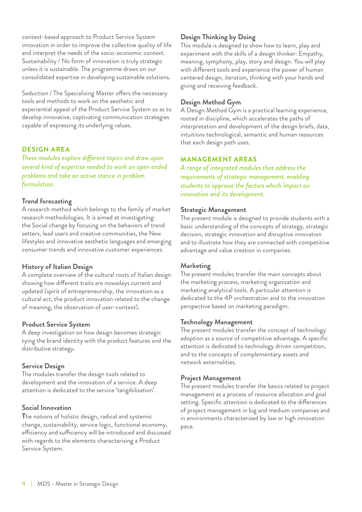context-based approach to Product Service System innovation in order to improve the collective quality of life and interpret the needs of the socio-economic context. Sustainability / No form of innovation is truly strategic unless it is sustainable. The programme draws on our consolidated expertise in developing sustainable solutions.

Seduction / The Specializing Master offers the necessary tools and methods to work on the aesthetic and experiential appeal of the Product Service System so as to develop innovative, captivating communication strategies capable of expressing its underlying values.

#### **DESIGN AREA**

*These modules explore different topics and draw upon several kind of expertise needed to work on open ended problems and take an active stance in problem formulation.*

#### **Trend forecasting**

A research method which belongs to the family of market research methodologies. It is aimed at investigating: the Social change by focusing on the behaviors of trend setters, lead users and creative communities, the New lifestyles and innovative aesthetic languages and emerging consumer trends and innovative customer experiences.

#### **History of Italian Design**

A complete overview of the cultural roots of Italian design showing how different traits are nowadays current and updated (spirit of entrepreneurship, the innovation as a cultural act, the product innovation related to the change of meaning, the observation of user-context).

#### **Product Service System**

A deep investigation on how design becomes strategic tying the brand identity with the product features and the distributive strategy.

#### **Service Design**

The modules transfer the design tools related to development and the innovation of a service. A deep attention is dedicated to the service 'tangibilization'.

#### **Social Innovation**

**T**he notions of holistic design, radical and systemic change, sustainability, service logic, functional economy, efficiency and sufficiency will be introduced and discussed with regards to the elements characterising a Product Service System.

#### **Design Thinking by Doing**

This module is designed to show how to learn, play and experiment with the skills of a design thinker: Empathy, meaning, symphony, play, story and design. You will play with different tools and experience the power of human centered design, iteration, thinking with your hands and giving and receiving feedback.

#### **Design Method Gym**

A Design Method Gym is a practical learning experience, rooted in discipline, which accelerates the paths of interpretation and development of the design briefs, data, intuitions technological, semantic and human resources that each design path uses.

#### **MANAGEMENT AREAS**

*A range of integrated modules that address the requirements of strategic management, enabling students to appraise the factors which impact on innovation and its development.*

#### **Strategic Management**

The present module is designed to provide students with a basic understanding of the concepts of strategy, strategic decision, strategic innovation and disruptive innovation and to illustrate how they are connected with competitive advantage and value creation in companies.

#### **Marketing**

The present modules transfer the main concepts about the marketing process, marketing organization and marketing analytical tools. A particular attention is dedicated to the 4P orchestration and to the innovation perspective based on marketing paradigm.

#### **Technology Management**

The present modules transfer the concept of technology adoption as a source of competitive advantage. A specific attention is dedicated to technology driven competition, and to the concepts of complementary assets and network externalities.

#### **Project Management**

The present modules transfer the basics related to project management as a process of resource allocation and goal setting. Specific attention is dedicated to the differences of project management in big and medium companies and in environments characterized by low or high innovation pace.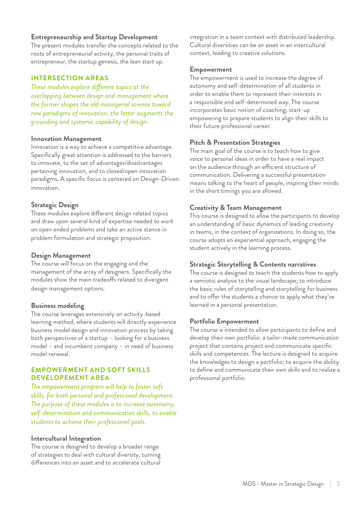#### **Entrepreneurship and Startup Development**

The present modules transfer the concepts related to the roots of entrepreneurial activity, the personal traits of entrepreneur, the startup genesis, the lean start up.

#### **INTERSECTION AREAS**

*These modules explore different topics at the overlapping between design and management where the former shapes the old managerial science toward new paradigms of innovation, the latter augments the grounding and systemic capability of design.*

#### **Innovation Management**

Innovation is a way to achieve a competitive advantage. Specifically great attention is addressed to the barriers to innovate, to the set of advantages/disadvantages pertaining innovation, and to closed/open innovation paradigms. A specific focus is centered on Design-Driven innovation.

#### **Strategic Design**

These modules explore different design related topics and draw upon several kind of expertise needed to work on open ended problems and take an active stance in problem formulation and strategic proposition.

#### **Design Management**

The course will focus on the engaging and the management of the array of designers. Specifically the modules show the main tradeoffs related to divergent design management options.

#### **Business modeling**

The course leverages extensively on activity-based learning method, where students will directly experience business model design and innovation process by taking both perspectives of a startup – looking for a business model – and incumbent company – in need of business model renewal.

#### **EMPOWERMENT AND SOFT SKILLS DEVELOPEMENT AREA**

*The empowerment program will help to foster soft skills, for both personal and professional development. The purpose of these modules is to increase autonomy, self-determination and communication skills, to enable students to achieve their professional goals.*

#### **Intercultural Integration**

The course is designed to develop a broader range of strategies to deal with cultural diversity, turning differences into an asset and to accelerate cultural integration in a team context with distributed leadership. Cultural diversities can be an asset in an intercultural context, leading to creative solutions.

#### **Empowerment**

The empowerment is used to increase the degree of autonomy and self-determination of all students in order to enable them to represent their interests in a responsible and self-determined way. The course incorporates basic notion of coaching, start-up empowering to prepare students to align their skills to their future professional career.

#### **Pitch & Presentation Strategies**

The main goal of the course is to teach how to give voice to personal ideas in order to have a real impact on the audience through an efficient structure of communication. Delivering a successful presentation means talking to the heart of people, inspiring their minds in the short timings you are allowed.

#### **Creativity & Team Management**

This course is designed to allow the participants to develop an understanding of basic dynamics of leading creativity in teams, in the context of organizations. In doing so, the course adopts an experiential approach, engaging the student actively in the learning process.

#### **Strategic Storytelling & Contents narratives**

The course is designed to teach the students how to apply a semiotic analysis to the visual landscape; to introduce the basic rules of storytelling and storytelling for business and to offer the students a chance to apply what they've learned in a personal presentation.

#### **Portfolio Empowerment**

The course is intended to allow participants to define and develop their own portfolio: a tailor-made communication project that contains project and communicate specific skills and competences. The lecture is designed to acquire the knowledges to design a portfolio; to acquire the ability to define and communicate their own skills and to realize a professional portfolio.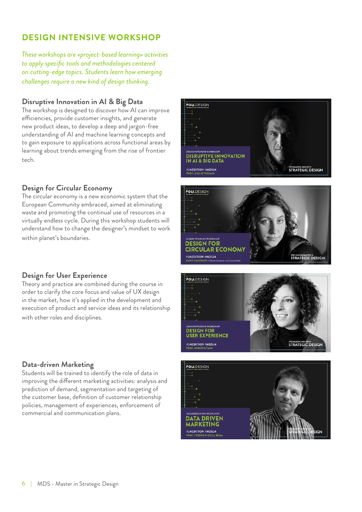## **DESIGN INTENSIVE WORKSHOP**

*These workshops are «project-based learning» activities to apply specific tools and methodologies centered on cutting-edge topics. Students learn how emerging challenges require a new kind of design thinking.*

#### **Disruptive Innovation in AI & Big Data**

The workshop is designed to discover how AI can improve efficiencies, provide customer insights, and generate new product ideas, to develop a deep and jargon-free understanding of AI and machine learning concepts and to gain exposure to applications across functional areas by learning about trends emerging from the rise of frontier tech.

#### **Design for Circular Economy**

The circular economy is a new economic system that the European Community embraced, aimed at eliminating waste and promoting the continual use of resources in a virtually endless cycle. During this workshop students will understand how to change the designer's mindset to work within planet's boundaries.





#### **Design for User Experience**

Theory and practice are combined during the course in order to clarify the core focus and value of UX design in the market, how it's applied in the development and execution of product and service ideas and its relationship with other roles and disciplines.

### **Data-driven Marketing**

Students will be trained to identify the role of data in improving the different marketing activities: analysis and prediction of demand, segmentation and targeting of the customer base, definition of customer relationship policies, management of experiences, enforcement of commercial and communication plans.



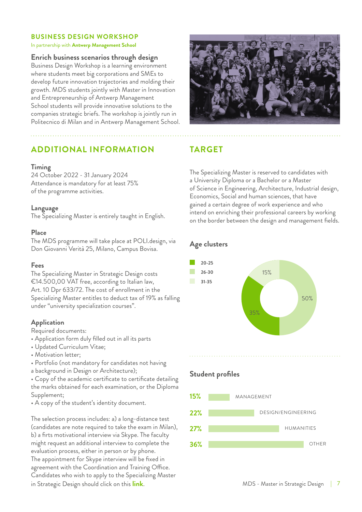#### **BUSINESS DESIGN WORKSHOP**

#### In partnership with **Antwerp Management School**

#### **Enrich business scenarios through design**

Business Design Workshop is a learning environment where students meet big corporations and SMEs to develop future innovation trajectories and molding their growth. MDS students jointly with Master in Innovation and Entrepreneurship of Antwerp Management School students will provide innovative solutions to the companies strategic briefs. The workshop is jointly run in Politecnico di Milan and in Antwerp Management School.

## **ADDITIONAL INFORMATION TARGET**

#### **Timing**

24 October 2022 - 31 January 2024 Attendance is mandatory for at least 75% of the programme activities.

#### **Language**

The Specializing Master is entirely taught in English.

#### **Place**

The MDS programme will take place at POLI.design, via Don Giovanni Verità 25, Milano, Campus Bovisa.

#### **Fees**

The Specializing Master in Strategic Design costs €14.500,00 VAT free, according to Italian law, Art. 10 Dpr 633/72. The cost of enrollment in the Specializing Master entitles to deduct tax of 19% as falling under "university specialization courses".

#### **Application**

Required documents:

- Application form duly filled out in all its parts
- Updated Curriculum Vitae;
- Motivation letter;
- Portfolio (not mandatory for candidates not having
- a background in Design or Architecture);

• Copy of the academic certificate to certificate detailing the marks obtained for each examination, or the Diploma Supplement;

• A copy of the student's identity document.

The selection process includes: a) a long-distance test (candidates are note required to take the exam in Milan), b) a firts motivational interview via Skype. The faculty might request an additional interview to complete the evaluation process, either in person or by phone. The appointment for Skype interview will be fixed in agreement with the Coordination and Training Office. Candidates who wish to apply to the Specializing Master in Strategic Design should click on this **[link](https://www.polidesign.net/en/member-login/?candidatura&redirect_to=https://www.polidesign.net/en/candidatura/?courseID=POLID_5fce35d54a7bd)**.



The Specializing Master is reserved to candidates with a University Diploma or a Bachelor or a Master of Science in Engineering, Architecture, Industrial design, Economics, Social and human sciences, that have gained a certain degree of work experience and who intend on enriching their professional careers by working on the border between the design and management fields.

#### **Age clusters**



### **Student profiles**